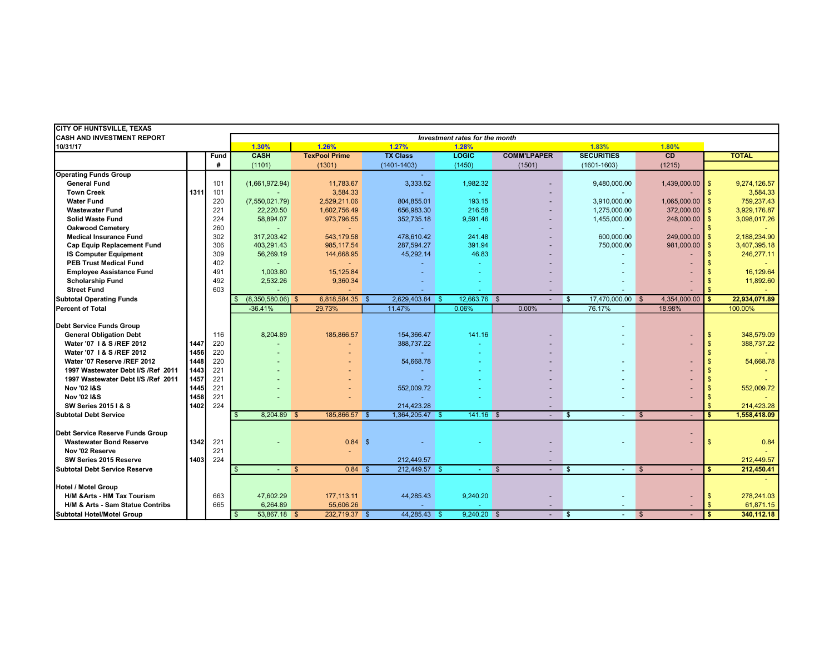| <b>CITY OF HUNTSVILLE, TEXAS</b>       |                                |      |                     |              |                      |                |                 |              |               |                                        |                         |                   |                |                   |                    |               |
|----------------------------------------|--------------------------------|------|---------------------|--------------|----------------------|----------------|-----------------|--------------|---------------|----------------------------------------|-------------------------|-------------------|----------------|-------------------|--------------------|---------------|
| <b>CASH AND INVESTMENT REPORT</b>      | Investment rates for the month |      |                     |              |                      |                |                 |              |               |                                        |                         |                   |                |                   |                    |               |
| 10/31/17                               |                                |      | 1.30%<br>1.26%      |              |                      | 1.27%<br>1.28% |                 |              |               | 1.83%<br>1.80%                         |                         |                   |                |                   |                    |               |
|                                        |                                | Fund | <b>CASH</b>         |              | <b>TexPool Prime</b> |                | <b>TX Class</b> | <b>LOGIC</b> |               | <b>COMM'LPAPER</b>                     |                         | <b>SECURITIES</b> |                | CD                |                    | <b>TOTAL</b>  |
|                                        |                                | #    | (1101)              |              | (1301)               |                | $(1401 - 1403)$ | (1450)       |               | (1501)                                 |                         | $(1601 - 1603)$   |                | (1215)            |                    |               |
| <b>Operating Funds Group</b>           |                                |      |                     |              |                      |                |                 |              |               |                                        |                         |                   |                |                   |                    |               |
| <b>General Fund</b>                    |                                | 101  | (1,661,972.94)      |              | 11,783.67            |                | 3,333.52        |              | 1,982.32      |                                        |                         | 9,480,000.00      |                | 1,439,000.00      | $\sqrt[6]{3}$      | 9,274,126.57  |
| <b>Town Creek</b>                      | 1311                           | 101  |                     |              | 3,584.33             |                |                 |              |               |                                        |                         |                   |                |                   | $\mathbf{s}$       | 3,584.33      |
| <b>Water Fund</b>                      |                                | 220  | (7,550,021.79)      |              | 2,529,211.06         |                | 804,855.01      |              | 193.15        |                                        |                         | 3,910,000.00      |                | $1,065,000.00$ \$ |                    | 759,237.43    |
| <b>Wastewater Fund</b>                 |                                | 221  | 22,220.50           |              | 1,602,756.49         |                | 656,983.30      |              | 216.58        |                                        |                         | 1,275,000.00      |                | 372,000.00        | $\mathbf{s}$       | 3,929,176.87  |
| <b>Solid Waste Fund</b>                |                                | 224  | 58,894.07           |              | 973,796.55           |                | 352,735.18      |              | 9,591.46      |                                        |                         | 1,455,000.00      |                | $248,000.00$ \$   |                    | 3,098,017.26  |
| <b>Oakwood Cemetery</b>                |                                | 260  |                     |              |                      |                |                 |              |               |                                        |                         |                   |                |                   | $\mathbf{s}$       |               |
| <b>Medical Insurance Fund</b>          |                                | 302  | 317,203.42          |              | 543,179.58           |                | 478,610.42      |              | 241.48        |                                        |                         | 600,000.00        |                | 249,000.00        | <b>S</b>           | 2,188,234.90  |
| <b>Cap Equip Replacement Fund</b>      |                                | 306  | 403.291.43          |              | 985,117.54           |                | 287.594.27      |              | 391.94        |                                        |                         | 750,000.00        |                | 981,000.00        | $\mathbf{s}$       | 3,407,395.18  |
| <b>IS Computer Equipment</b>           |                                | 309  | 56,269.19           |              | 144,668.95           |                | 45,292.14       |              | 46.83         |                                        |                         |                   |                |                   | $\mathbf{s}$       | 246,277.11    |
| <b>PEB Trust Medical Fund</b>          |                                | 402  | $\blacksquare$      |              |                      |                |                 |              |               |                                        |                         |                   |                |                   |                    |               |
| <b>Employee Assistance Fund</b>        |                                | 491  | 1.003.80            |              | 15.125.84            |                |                 |              |               |                                        |                         |                   |                |                   |                    | 16,129.64     |
| <b>Scholarship Fund</b>                |                                | 492  | 2,532.26            |              | 9,360.34             |                |                 |              |               |                                        |                         |                   |                |                   | $\mathbf{s}$       | 11,892.60     |
| <b>Street Fund</b>                     |                                | 603  |                     |              |                      |                |                 |              |               |                                        |                         |                   |                |                   |                    |               |
| <b>Subtotal Operating Funds</b>        |                                |      | $(8,350,580.06)$ \$ |              | 6,818,584.35 \$      |                | 2,629,403.84 \$ |              | 12.663.76 \$  | $\sim$                                 | l \$                    | 17,470,000.00 \$  |                | 4,354,000.00      | <b>S</b>           | 22,934,071.89 |
| <b>Percent of Total</b>                |                                |      | $-36.41%$           |              | 29.73%               |                | 11.47%          | 0.06%        |               | 0.00%                                  |                         | 76.17%            |                | 18.98%            |                    | 100.00%       |
|                                        |                                |      |                     |              |                      |                |                 |              |               |                                        |                         |                   |                |                   |                    |               |
| Debt Service Funds Group               |                                |      |                     |              |                      |                |                 |              |               |                                        |                         |                   |                |                   |                    |               |
| <b>General Obligation Debt</b>         |                                | 116  | 8,204.89            |              | 185,866.57           |                | 154,366.47      |              | 141.16        |                                        |                         |                   |                |                   | $\mathbf{s}$       | 348,579.09    |
| Water '07   & S / REF 2012             | 1447                           | 220  |                     |              |                      |                | 388.737.22      |              | ÷             |                                        |                         |                   |                |                   | $\mathbf{s}$       | 388,737.22    |
| Water '07   & S / REF 2012             | 1456                           | 220  |                     |              |                      |                |                 |              | ÷             |                                        |                         |                   |                |                   | $\mathbf{s}$       |               |
| Water '07 Reserve /REF 2012            | 1448                           | 220  |                     |              |                      |                | 54,668.78       |              |               |                                        |                         |                   |                |                   | $\mathbf{s}$       | 54,668.78     |
| 1997 Wastewater Debt I/S /Ref 2011     | 1443                           | 221  |                     |              |                      |                |                 |              |               |                                        |                         |                   |                |                   |                    |               |
| 1997 Wastewater Debt I/S /Ref 2011     | 1457                           | 221  |                     |              |                      |                |                 |              |               |                                        |                         |                   |                |                   | \$                 |               |
| <b>Nov '02 I&amp;S</b>                 | 1445                           | 221  |                     |              |                      |                | 552,009.72      |              |               |                                        |                         |                   |                |                   | \$                 | 552,009.72    |
| <b>Nov '02 I&amp;S</b>                 | 1458                           | 221  |                     |              |                      |                |                 |              |               |                                        |                         |                   |                |                   | $\mathbf{s}$       |               |
| <b>SW Series 2015   &amp; S</b>        | 1402                           | 224  |                     |              |                      |                | 214,423.28      |              |               |                                        |                         |                   |                |                   | $\mathbf{\hat{f}}$ | 214,423.28    |
| <b>Subtotal Debt Service</b>           |                                |      | 8,204.89 \$         |              | 185,866.57 \$        |                | 1,364,205.47 \$ |              | $141.16$ \$   | $\sim$                                 | $\mathbf{\$}$           | $\sim$            | $\mathfrak{S}$ |                   | \$.                | 1,558,418.09  |
|                                        |                                |      |                     |              |                      |                |                 |              |               |                                        |                         |                   |                |                   |                    |               |
| Debt Service Reserve Funds Group       |                                |      |                     |              |                      |                |                 |              |               |                                        |                         |                   |                |                   |                    |               |
| <b>Wastewater Bond Reserve</b>         | 1342                           | 221  |                     |              | $0.84$ \$            |                |                 |              |               |                                        |                         |                   |                |                   | $\mathfrak{s}$     | 0.84          |
| Nov '02 Reserve                        |                                | 221  |                     |              |                      |                |                 |              |               |                                        |                         |                   |                |                   |                    |               |
| SW Series 2015 Reserve                 | 1403                           | 224  |                     |              |                      |                | 212,449.57      |              |               | $\overline{a}$                         |                         |                   |                |                   |                    | 212,449.57    |
| Subtotal Debt Service Reserve          |                                |      | $\mathbf{\$}$       | $\mathbf{s}$ | 0.84S                |                | 212,449.57 \$   |              | $\sim$        | $\sqrt{3}$<br>$\overline{\phantom{a}}$ | $\overline{\mathbf{s}}$ | $\sim$            | $\mathbf{s}$   |                   | s.                 | 212,450.41    |
|                                        |                                |      |                     |              |                      |                |                 |              |               |                                        |                         |                   |                |                   |                    |               |
| Hotel / Motel Group                    |                                |      |                     |              |                      |                |                 |              |               |                                        |                         |                   |                |                   |                    |               |
| <b>H/M &amp; Arts - HM Tax Tourism</b> |                                | 663  | 47,602.29           |              | 177,113.11           |                | 44,285.43       |              | 9,240.20      |                                        |                         |                   |                |                   | $\mathbf{s}$       | 278,241.03    |
| H/M & Arts - Sam Statue Contribs       |                                | 665  | 6,264.89            |              | 55,606.26            |                |                 |              |               |                                        |                         |                   |                |                   |                    | 61,871.15     |
| Subtotal Hotel/Motel Group             |                                |      | 53,867.18 \$        |              | 232,719.37 \$        |                | 44,285.43 \$    |              | $9,240.20$ \$ | $\sim$                                 | $\sqrt[6]{3}$           | $\sim$            | $\sqrt[3]{5}$  |                   | \$.                | 340,112.18    |
|                                        |                                |      |                     |              |                      |                |                 |              |               |                                        |                         |                   |                |                   |                    |               |